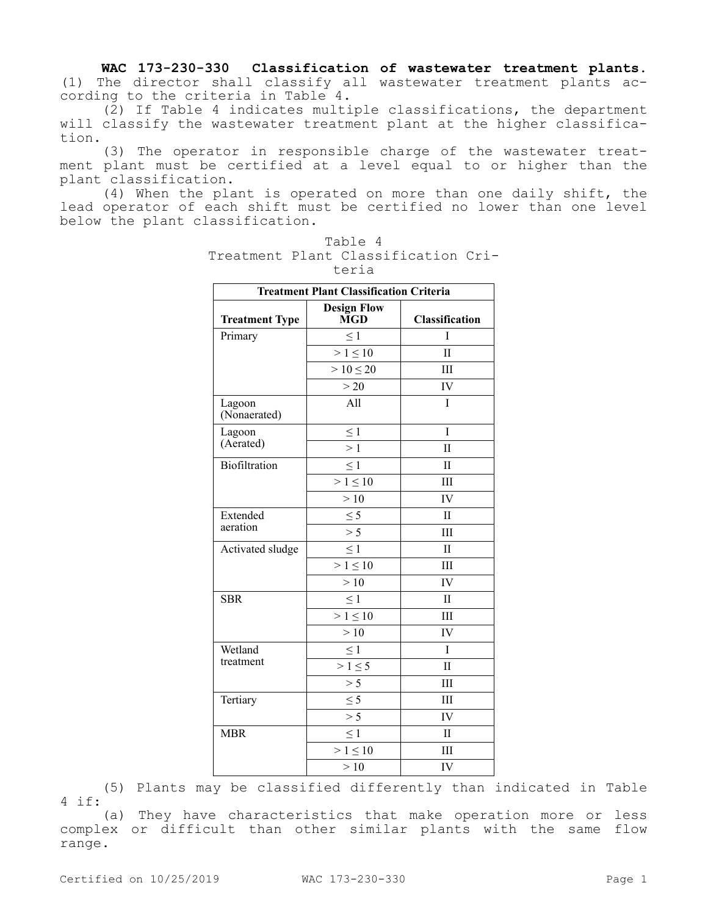**WAC 173-230-330 Classification of wastewater treatment plants.**  (1) The director shall classify all wastewater treatment plants according to the criteria in Table 4.

(2) If Table 4 indicates multiple classifications, the department will classify the wastewater treatment plant at the higher classification.

(3) The operator in responsible charge of the wastewater treatment plant must be certified at a level equal to or higher than the plant classification.

(4) When the plant is operated on more than one daily shift, the lead operator of each shift must be certified no lower than one level below the plant classification.

| <b>Treatment Plant Classification Criteria</b> |                           |                       |
|------------------------------------------------|---------------------------|-----------------------|
| <b>Treatment Type</b>                          | <b>Design Flow</b><br>MGD | <b>Classification</b> |
| Primary                                        | $\leq 1$                  | T                     |
|                                                | $> 1 \le 10$              | $\mathbf{I}$          |
|                                                | $> 10 \le 20$             | III                   |
|                                                | >20                       | IV                    |
| Lagoon<br>(Nonaerated)                         | All                       | I                     |
| Lagoon<br>(Aerated)                            | $\leq 1$                  | I                     |
|                                                | $\geq 1$                  | $\mathbf{I}$          |
| Biofiltration                                  | $\leq 1$                  | $\mathbf{I}$          |
|                                                | $> 1 \le 10$              | IΙI                   |
|                                                | >10                       | IV                    |
| Extended<br>aeration                           | $\leq$ 5                  | $\mathbf{I}$          |
|                                                | > 5                       | III                   |
| Activated sludge                               | $\leq 1$                  | $\mathbf{H}$          |
|                                                | $> 1 \le 10$              | III                   |
|                                                | >10                       | IV                    |
| <b>SBR</b>                                     | $\leq 1$                  | $\mathbf{I}$          |
|                                                | $> 1 \le 10$              | IΙI                   |
|                                                | >10                       | IV                    |
| Wetland                                        | $\leq$ 1                  | T                     |
| treatment                                      | $>1 \leq 5$               | $\mathbf{I}$          |
|                                                | > 5                       | IΙI                   |
| Tertiary                                       | $\leq$ 5                  | III                   |
|                                                | > 5                       | IV                    |
| <b>MBR</b>                                     | $\leq 1$                  | $\mathbf{I}$          |
|                                                | $> 1 \leq 10$             | Ш                     |
|                                                | >10                       | IV                    |

Table 4 Treatment Plant Classification Criteria

(5) Plants may be classified differently than indicated in Table 4 if:

(a) They have characteristics that make operation more or less complex or difficult than other similar plants with the same flow range.